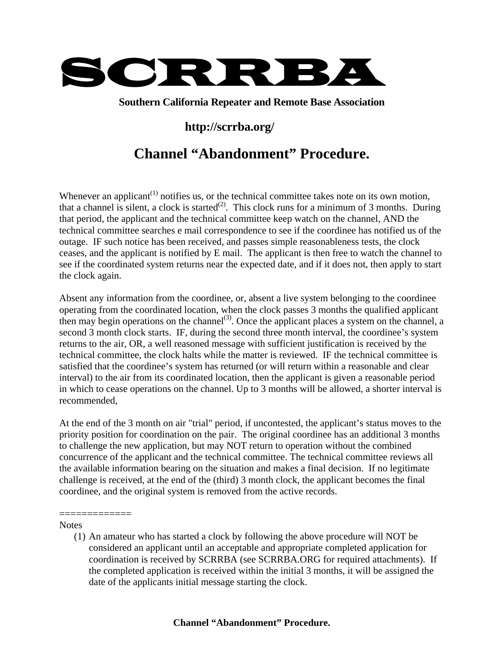

**Southern California Repeater and Remote Base Association** 

## **http://scrrba.org/**

## **Channel "Abandonment" Procedure.**

Whenever an applicant<sup> $(1)$ </sup> notifies us, or the technical committee takes note on its own motion, that a channel is silent, a clock is started<sup>(2)</sup>. This clock runs for a minimum of 3 months. During that period, the applicant and the technical committee keep watch on the channel, AND the technical committee searches e mail correspondence to see if the coordinee has notified us of the outage. IF such notice has been received, and passes simple reasonableness tests, the clock ceases, and the applicant is notified by E mail. The applicant is then free to watch the channel to see if the coordinated system returns near the expected date, and if it does not, then apply to start the clock again.

Absent any information from the coordinee, or, absent a live system belonging to the coordinee operating from the coordinated location, when the clock passes 3 months the qualified applicant then may begin operations on the channel<sup>(3)</sup>. Once the applicant places a system on the channel, a second 3 month clock starts. IF, during the second three month interval, the coordinee's system returns to the air, OR, a well reasoned message with sufficient justification is received by the technical committee, the clock halts while the matter is reviewed. IF the technical committee is satisfied that the coordinee's system has returned (or will return within a reasonable and clear interval) to the air from its coordinated location, then the applicant is given a reasonable period in which to cease operations on the channel. Up to 3 months will be allowed, a shorter interval is recommended,

At the end of the 3 month on air "trial" period, if uncontested, the applicant's status moves to the priority position for coordination on the pair. The original coordinee has an additional 3 months to challenge the new application, but may NOT return to operation without the combined concurrence of the applicant and the technical committee. The technical committee reviews all the available information bearing on the situation and makes a final decision. If no legitimate challenge is received, at the end of the (third) 3 month clock, the applicant becomes the final coordinee, and the original system is removed from the active records.

## **Notes**

=============

(1) An amateur who has started a clock by following the above procedure will NOT be considered an applicant until an acceptable and appropriate completed application for coordination is received by SCRRBA (see SCRRBA.ORG for required attachments). If the completed application is received within the initial 3 months, it will be assigned the date of the applicants initial message starting the clock.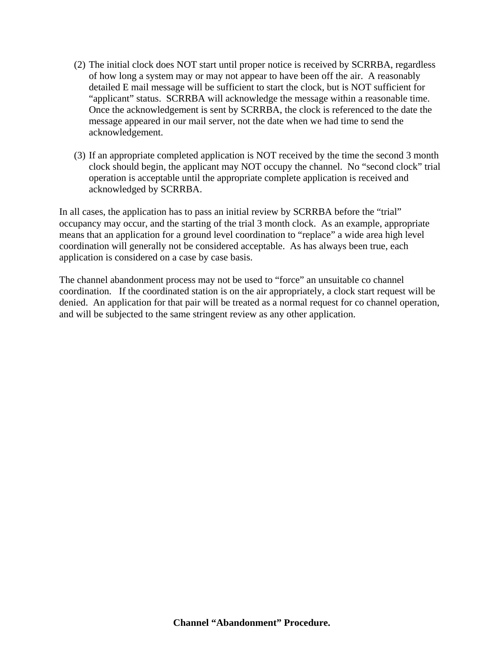- (2) The initial clock does NOT start until proper notice is received by SCRRBA, regardless of how long a system may or may not appear to have been off the air. A reasonably detailed E mail message will be sufficient to start the clock, but is NOT sufficient for "applicant" status. SCRRBA will acknowledge the message within a reasonable time. Once the acknowledgement is sent by SCRRBA, the clock is referenced to the date the message appeared in our mail server, not the date when we had time to send the acknowledgement.
- (3) If an appropriate completed application is NOT received by the time the second 3 month clock should begin, the applicant may NOT occupy the channel. No "second clock" trial operation is acceptable until the appropriate complete application is received and acknowledged by SCRRBA.

In all cases, the application has to pass an initial review by SCRRBA before the "trial" occupancy may occur, and the starting of the trial 3 month clock. As an example, appropriate means that an application for a ground level coordination to "replace" a wide area high level coordination will generally not be considered acceptable. As has always been true, each application is considered on a case by case basis.

The channel abandonment process may not be used to "force" an unsuitable co channel coordination. If the coordinated station is on the air appropriately, a clock start request will be denied. An application for that pair will be treated as a normal request for co channel operation, and will be subjected to the same stringent review as any other application.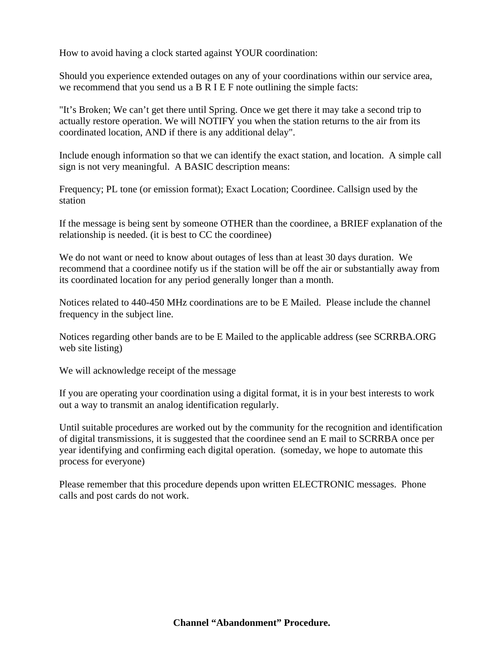How to avoid having a clock started against YOUR coordination:

Should you experience extended outages on any of your coordinations within our service area, we recommend that you send us a B R I E F note outlining the simple facts:

"It's Broken; We can't get there until Spring. Once we get there it may take a second trip to actually restore operation. We will NOTIFY you when the station returns to the air from its coordinated location, AND if there is any additional delay".

Include enough information so that we can identify the exact station, and location. A simple call sign is not very meaningful. A BASIC description means:

Frequency; PL tone (or emission format); Exact Location; Coordinee. Callsign used by the station

If the message is being sent by someone OTHER than the coordinee, a BRIEF explanation of the relationship is needed. (it is best to CC the coordinee)

We do not want or need to know about outages of less than at least 30 days duration. We recommend that a coordinee notify us if the station will be off the air or substantially away from its coordinated location for any period generally longer than a month.

Notices related to 440-450 MHz coordinations are to be E Mailed. Please include the channel frequency in the subject line.

Notices regarding other bands are to be E Mailed to the applicable address (see SCRRBA.ORG web site listing)

We will acknowledge receipt of the message

If you are operating your coordination using a digital format, it is in your best interests to work out a way to transmit an analog identification regularly.

Until suitable procedures are worked out by the community for the recognition and identification of digital transmissions, it is suggested that the coordinee send an E mail to SCRRBA once per year identifying and confirming each digital operation. (someday, we hope to automate this process for everyone)

Please remember that this procedure depends upon written ELECTRONIC messages. Phone calls and post cards do not work.